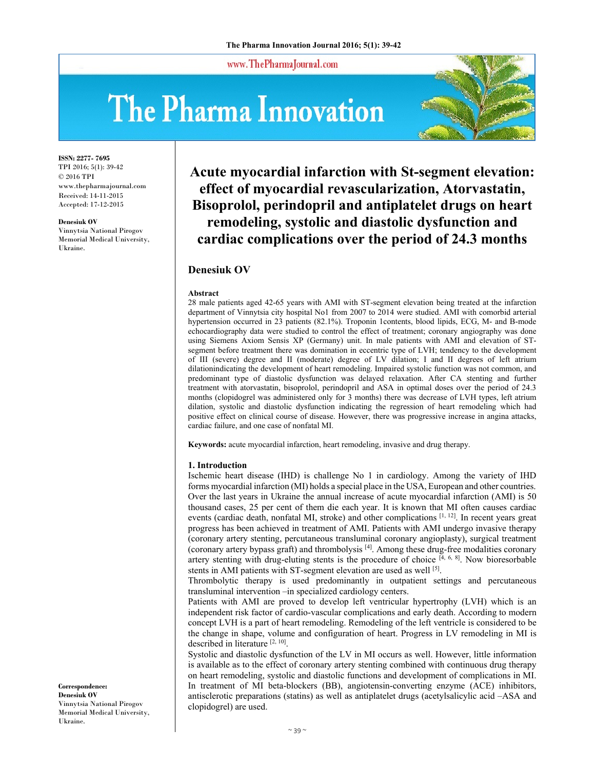www.ThePharmaJournal.com

# The Pharma Innovation



**ISSN: 2277- 7695** TPI 2016; 5(1): 39-42 © 2016 TPI www.thepharmajournal.com Received: 14-11-2015 Accepted: 17-12-2015

#### **Denesiuk OV**

Vinnytsia National Pirogov Memorial Medical University, Ukraine.

**Acute myocardial infarction with St-segment elevation: effect of myocardial revascularization, Atorvastatin, Bisoprolol, perindopril and antiplatelet drugs on heart remodeling, systolic and diastolic dysfunction and cardiac complications over the period of 24.3 months** 

# **Denesiuk OV**

#### **Abstract**

28 male patients aged 42-65 years with AMI with ST-segment elevation being treated at the infarction department of Vinnytsia city hospital No1 from 2007 to 2014 were studied. AMI with comorbid arterial hypertension occurred in 23 patients (82.1%). Troponin 1contents, blood lipids, ECG, M- and B-mode echocardiography data were studied to control the effect of treatment; coronary angiography was done using Siemens Axiom Sensis XP (Germany) unit. In male patients with AMI and elevation of STsegment before treatment there was domination in eccentric type of LVH; tendency to the development of III (severe) degree and II (moderate) degree of LV dilation; I and II degrees of left atrium dilationindicating the development of heart remodeling. Impaired systolic function was not common, and predominant type of diastolic dysfunction was delayed relaxation. After CA stenting and further treatment with atorvastatin, bisoprolol, perindopril and ASA in optimal doses over the period of 24.3 months (clopidogrel was administered only for 3 months) there was decrease of LVH types, left atrium dilation, systolic and diastolic dysfunction indicating the regression of heart remodeling which had positive effect on clinical course of disease. However, there was progressive increase in angina attacks, cardiac failure, and one case of nonfatal MI.

**Keywords:** acute myocardial infarction, heart remodeling, invasive and drug therapy.

### **1. Introduction**

Ischemic heart disease (IHD) is challenge No 1 in cardiology. Among the variety of IHD forms myocardial infarction (MI) holds a special place in the USA, European and other countries. Over the last years in Ukraine the annual increase of acute myocardial infarction (AMI) is 50 thousand cases, 25 per cent of them die each year. It is known that MI often causes cardiac events (cardiac death, nonfatal MI, stroke) and other complications [1, 12]. In recent years great progress has been achieved in treatment of AMI. Patients with AMI undergo invasive therapy (coronary artery stenting, percutaneous transluminal coronary angioplasty), surgical treatment (coronary artery bypass graft) and thrombolysis [4]. Among these drug-free modalities coronary artery stenting with drug-eluting stents is the procedure of choice  $[4, 6, 8]$ . Now bioresorbable stents in AMI patients with ST-segment elevation are used as well [5].

Thrombolytic therapy is used predominantly in outpatient settings and percutaneous transluminal intervention –in specialized cardiology centers.

Patients with AMI are proved to develop left ventricular hypertrophy (LVH) which is an independent risk factor of cardio-vascular complications and early death. According to modern concept LVH is a part of heart remodeling. Remodeling of the left ventricle is considered to be the change in shape, volume and configuration of heart. Progress in LV remodeling in MI is described in literature [2, 10].

Systolic and diastolic dysfunction of the LV in MI occurs as well. However, little information is available as to the effect of coronary artery stenting combined with continuous drug therapy on heart remodeling, systolic and diastolic functions and development of complications in MI. In treatment of MI beta-blockers (BB), angiotensin-converting enzyme (ACE) inhibitors, antisclerotic preparations (statins) as well as antiplatelet drugs (acetylsalicylic acid –ASA and clopidogrel) are used.

**Correspondence: Denesiuk OV**  Vinnytsia National Pirogov Memorial Medical University, Ukraine.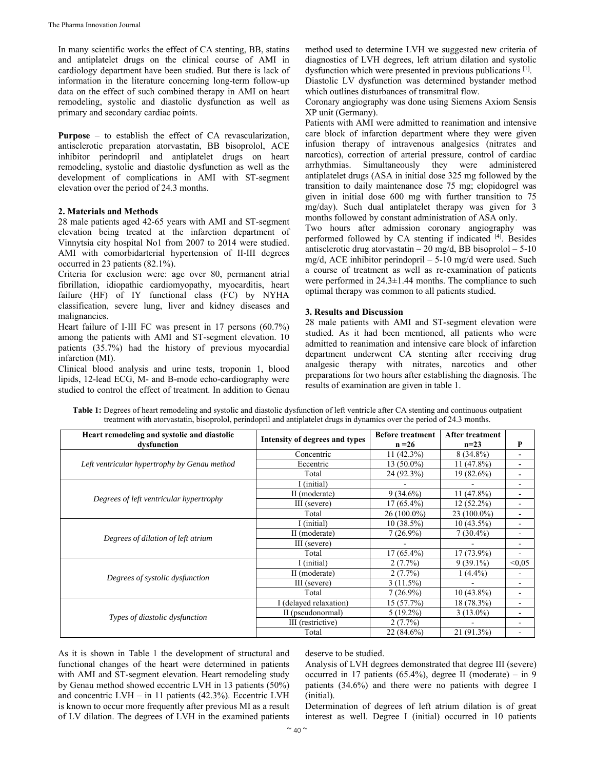In many scientific works the effect of CA stenting, BB, statins and antiplatelet drugs on the clinical course of AMI in cardiology department have been studied. But there is lack of information in the literature concerning long-term follow-up data on the effect of such combined therapy in AMI on heart remodeling, systolic and diastolic dysfunction as well as primary and secondary cardiac points.

**Purpose** – to establish the effect of CA revascularization, antisclerotic preparation atorvastatin, BB bisoprolol, ACE inhibitor perindopril and antiplatelet drugs on heart remodeling, systolic and diastolic dysfunction as well as the development of complications in AMI with ST-segment elevation over the period of 24.3 months.

## **2. Materials and Methods**

28 male patients aged 42-65 years with AMI and ST-segment elevation being treated at the infarction department of Vinnytsia city hospital No1 from 2007 to 2014 were studied. AMI with comorbidarterial hypertension of II-III degrees occurred in 23 patients (82.1%).

Criteria for exclusion were: age over 80, permanent atrial fibrillation, idiopathic cardiomyopathy, myocarditis, heart failure (HF) of IY functional class (FC) by NYHA classification, severe lung, liver and kidney diseases and malignancies.

Heart failure of I-III FC was present in 17 persons (60.7%) among the patients with AMI and ST-segment elevation. 10 patients (35.7%) had the history of previous myocardial infarction (MI).

Clinical blood analysis and urine tests, troponin 1, blood lipids, 12-lead ECG, M- and B-mode echo-cardiography were studied to control the effect of treatment. In addition to Genau

method used to determine LVH we suggested new criteria of diagnostics of LVH degrees, left atrium dilation and systolic dysfunction which were presented in previous publications [1]. Diastolic LV dysfunction was determined bystander method

which outlines disturbances of transmitral flow.

Coronary angiography was done using Siemens Axiom Sensis XP unit (Germany).

Patients with AMI were admitted to reanimation and intensive care block of infarction department where they were given infusion therapy of intravenous analgesics (nitrates and narcotics), correction of arterial pressure, control of cardiac arrhythmias. Simultaneously they were administered antiplatelet drugs (ASA in initial dose 325 mg followed by the transition to daily maintenance dose 75 mg; clopidogrel was given in initial dose 600 mg with further transition to 75 mg/day). Such dual antiplatelet therapy was given for 3 months followed by constant administration of ASA only.

Two hours after admission coronary angiography was performed followed by CA stenting if indicated [4]. Besides antisclerotic drug atorvastatin  $-20$  mg/d, BB bisoprolol  $-5-10$ mg/d, ACE inhibitor perindopril – 5-10 mg/d were used. Such a course of treatment as well as re-examination of patients were performed in 24.3±1.44 months. The compliance to such optimal therapy was common to all patients studied.

## **3. Results and Discussion**

28 male patients with AMI and ST-segment elevation were studied. As it had been mentioned, all patients who were admitted to reanimation and intensive care block of infarction department underwent CA stenting after receiving drug analgesic therapy with nitrates, narcotics and other preparations for two hours after establishing the diagnosis. The results of examination are given in table 1.

Table 1: Degrees of heart remodeling and systolic and diastolic dysfunction of left ventricle after CA stenting and continuous outpatient treatment with atorvastatin, bisoprolol, perindopril and antiplatelet drugs in dynamics over the period of 24.3 months.

| Heart remodeling and systolic and diastolic<br>dysfunction | Intensity of degrees and types | <b>Before treatment</b><br>$n = 26$                                                                                                                         | <b>After treatment</b><br>$n=23$ | P                        |
|------------------------------------------------------------|--------------------------------|-------------------------------------------------------------------------------------------------------------------------------------------------------------|----------------------------------|--------------------------|
| Left ventricular hypertrophy by Genau method               | Concentric                     | $11(42.3\%)$                                                                                                                                                | $8(34.8\%)$                      | $\overline{\phantom{a}}$ |
|                                                            | Eccentric                      | $13(50.0\%)$                                                                                                                                                | $11(47.8\%)$                     |                          |
|                                                            | Total                          | 24 (92.3%)                                                                                                                                                  | $19(82.6\%)$                     | $\overline{\phantom{a}}$ |
|                                                            | I (initial)                    | $9(34.6\%)$<br>$11(47.8\%)$<br>$17(65.4\%)$<br>$12(52.2\%)$<br>$26(100.0\%)$<br>$23(100.0\%)$<br>$10(38.5\%)$<br>$10(43.5\%)$<br>$7(30.4\%)$<br>$7(26.9\%)$ |                                  | ۰                        |
| Degrees of left ventricular hypertrophy                    | II (moderate)                  |                                                                                                                                                             |                                  |                          |
|                                                            | III (severe)                   |                                                                                                                                                             |                                  |                          |
|                                                            | Total                          |                                                                                                                                                             |                                  |                          |
| Degrees of dilation of left atrium                         | I (initial)                    |                                                                                                                                                             |                                  | $\blacksquare$           |
|                                                            | II (moderate)                  |                                                                                                                                                             |                                  | $\overline{\phantom{a}}$ |
|                                                            | III (severe)                   |                                                                                                                                                             |                                  | $\overline{\phantom{0}}$ |
|                                                            | Total                          | $17(65.4\%)$                                                                                                                                                | $17(73.9\%)$                     |                          |
|                                                            | I (initial)                    | $2(7.7\%)$                                                                                                                                                  | $9(39.1\%)$                      | < 0.05                   |
| Degrees of systolic dysfunction                            | II (moderate)                  | $2(7.7\%)$                                                                                                                                                  | $1(4.4\%)$                       |                          |
|                                                            | III (severe)                   | $3(11.5\%)$                                                                                                                                                 |                                  |                          |
|                                                            | Total                          | $7(26.9\%)$                                                                                                                                                 | $10(43.8\%)$                     |                          |
| Types of diastolic dysfunction                             | I (delayed relaxation)         | $15(57.7\%)$                                                                                                                                                | $18(78.3\%)$                     | $\overline{\phantom{a}}$ |
|                                                            | II (pseudonormal)              | $5(19.2\%)$                                                                                                                                                 | $3(13.0\%)$                      | -                        |
|                                                            | III (restrictive)              | $2(7.7\%)$                                                                                                                                                  |                                  |                          |
|                                                            | Total                          | 22 (84.6%)                                                                                                                                                  | 21 (91.3%)                       |                          |

As it is shown in Table 1 the development of structural and functional changes of the heart were determined in patients with AMI and ST-segment elevation. Heart remodeling study by Genau method showed eccentric LVH in 13 patients (50%) and concentric LVH – in 11 patients (42.3%). Eccentric LVH is known to occur more frequently after previous MI as a result of LV dilation. The degrees of LVH in the examined patients

deserve to be studied.

Analysis of LVH degrees demonstrated that degree III (severe) occurred in 17 patients (65.4%), degree II (moderate) – in 9 patients (34.6%) and there were no patients with degree I (initial).

Determination of degrees of left atrium dilation is of great interest as well. Degree I (initial) occurred in 10 patients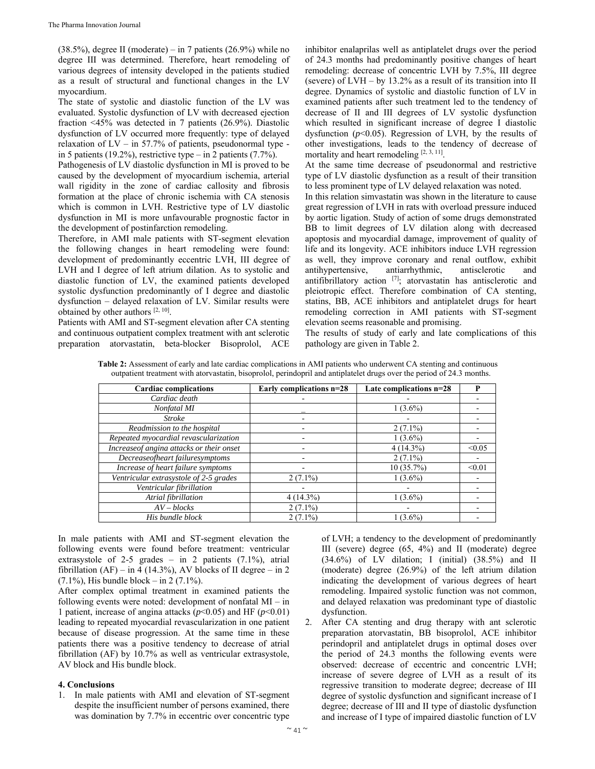$(38.5\%)$ , degree II (moderate) – in 7 patients  $(26.9\%)$  while no degree III was determined. Therefore, heart remodeling of various degrees of intensity developed in the patients studied as a result of structural and functional changes in the LV myocardium.

The state of systolic and diastolic function of the LV was evaluated. Systolic dysfunction of LV with decreased ejection fraction <45% was detected in 7 patients (26.9%). Diastolic dysfunction of LV occurred more frequently: type of delayed relaxation of LV – in 57.7% of patients, pseudonormal type in 5 patients (19.2%), restrictive type – in 2 patients (7.7%).

Pathogenesis of LV diastolic dysfunction in MI is proved to be caused by the development of myocardium ischemia, arterial wall rigidity in the zone of cardiac callosity and fibrosis formation at the place of chronic ischemia with CA stenosis which is common in LVH. Restrictive type of LV diastolic dysfunction in MI is more unfavourable prognostic factor in the development of postinfarction remodeling.

Therefore, in AMI male patients with ST-segment elevation the following changes in heart remodeling were found: development of predominantly eccentric LVH, III degree of LVH and I degree of left atrium dilation. As to systolic and diastolic function of LV, the examined patients developed systolic dysfunction predominantly of I degree and diastolic dysfunction – delayed relaxation of LV. Similar results were obtained by other authors [2, 10].

Patients with AMI and ST-segment elevation after CA stenting and continuous outpatient complex treatment with ant sclerotic preparation atorvastatin, beta-blocker Bisoprolol, ACE inhibitor enalaprilas well as antiplatelet drugs over the period of 24.3 months had predominantly positive changes of heart remodeling: decrease of concentric LVH by 7.5%, III degree (severe) of LVH – by 13.2% as a result of its transition into II degree. Dynamics of systolic and diastolic function of LV in examined patients after such treatment led to the tendency of decrease of II and III degrees of LV systolic dysfunction which resulted in significant increase of degree I diastolic dysfunction  $(p<0.05)$ . Regression of LVH, by the results of other investigations, leads to the tendency of decrease of mortality and heart remodeling [2, 3, 11].

At the same time decrease of pseudonormal and restrictive type of LV diastolic dysfunction as a result of their transition to less prominent type of LV delayed relaxation was noted.

In this relation simvastatin was shown in the literature to cause great regression of LVH in rats with overload pressure induced by aortic ligation. Study of action of some drugs demonstrated BB to limit degrees of LV dilation along with decreased apoptosis and myocardial damage, improvement of quality of life and its longevity. ACE inhibitors induce LVH regression as well, they improve coronary and renal outflow, exhibit antihypertensive, antiarrhythmic, antisclerotic and antifibrillatory action [7]; atorvastatin has antisclerotic and pleiotropic effect. Therefore combination of CA stenting, statins, BB, ACE inhibitors and antiplatelet drugs for heart remodeling correction in AMI patients with ST-segment elevation seems reasonable and promising.

The results of study of early and late complications of this pathology are given in Table 2.

**Table 2:** Assessment of early and late cardiac complications in AMI patients who underwent CA stenting and continuous outpatient treatment with atorvastatin, bisoprolol, perindopril and antiplatelet drugs over the period of 24.3 months.

| <b>Cardiac complications</b>              | Early complications n=28 | Late complications n=28 | P      |
|-------------------------------------------|--------------------------|-------------------------|--------|
| Cardiac death                             |                          |                         |        |
| Nonfatal MI                               |                          | $1(3.6\%)$              |        |
| <b>Stroke</b>                             |                          |                         |        |
| Readmission to the hospital               |                          | $2(7.1\%)$              |        |
| Repeated myocardial revascularization     |                          | $1(3.6\%)$              |        |
| Increase of angina attacks or their onset |                          | $4(14.3\%)$             | < 0.05 |
| Decreaseofheart failuresymptoms           |                          | $2(7.1\%)$              |        |
| Increase of heart failure symptoms        |                          | 10(35.7%)               | < 0.01 |
| Ventricular extrasystole of 2-5 grades    | $2(7.1\%)$               | $1(3.6\%)$              |        |
| Ventricular fibrillation                  |                          |                         |        |
| Atrial fibrillation                       | $4(14.3\%)$              | $1(3.6\%)$              |        |
| $AV - blocks$                             | $2(7.1\%)$               |                         |        |
| His bundle block                          | $2(7.1\%)$               | $1(3.6\%)$              |        |

In male patients with AMI and ST-segment elevation the following events were found before treatment: ventricular extrasystole of 2-5 grades – in 2 patients  $(7.1\%)$ , atrial fibrillation (AF) – in 4 (14.3%), AV blocks of II degree – in 2 (7.1%), His bundle block – in 2 (7.1%).

After complex optimal treatment in examined patients the following events were noted: development of nonfatal MI – in 1 patient, increase of angina attacks (*p*<0.05) and HF (*p*<0.01) leading to repeated myocardial revascularization in one patient because of disease progression. At the same time in these patients there was a positive tendency to decrease of atrial fibrillation (AF) by 10.7% as well as ventricular extrasystole, AV block and His bundle block.

## **4. Conclusions**

1. In male patients with AMI and elevation of ST-segment despite the insufficient number of persons examined, there was domination by 7.7% in eccentric over concentric type of LVH; a tendency to the development of predominantly III (severe) degree (65, 4%) and II (moderate) degree (34.6%) of LV dilation; I (initial) (38.5%) and II (moderate) degree (26.9%) of the left atrium dilation indicating the development of various degrees of heart remodeling. Impaired systolic function was not common, and delayed relaxation was predominant type of diastolic dysfunction.

2. After CA stenting and drug therapy with ant sclerotic preparation atorvastatin, BB bisoprolol, ACE inhibitor perindopril and antiplatelet drugs in optimal doses over the period of 24.3 months the following events were observed: decrease of eccentric and concentric LVH; increase of severe degree of LVH as a result of its regressive transition to moderate degree; decrease of III degree of systolic dysfunction and significant increase of I degree; decrease of III and II type of diastolic dysfunction and increase of I type of impaired diastolic function of LV